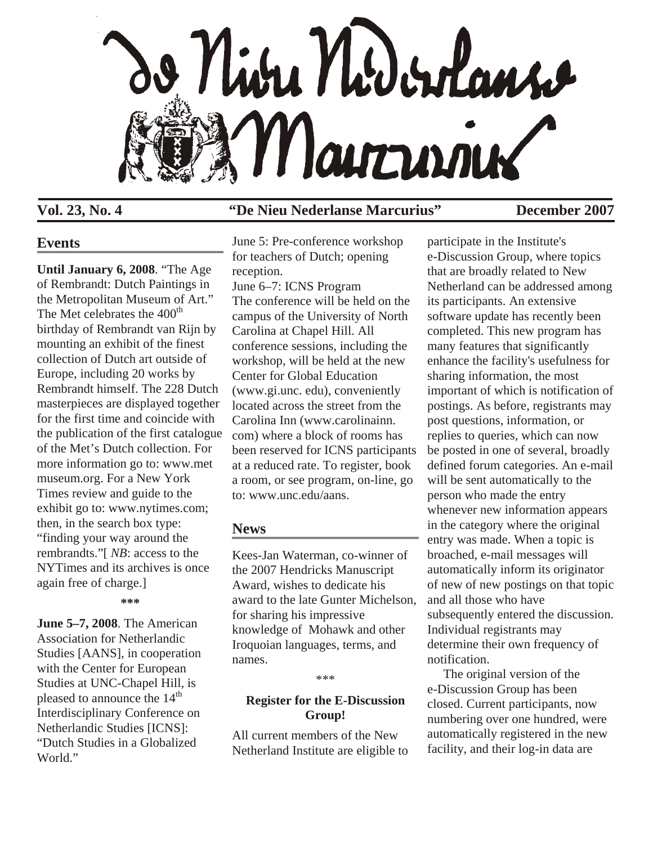

## **Vol. 23, No. 4 "De Nieu Nederlanse Marcurius" December 2007**

## **Events**

**Until January 6, 2008**. "The Age of Rembrandt: Dutch Paintings in the Metropolitan Museum of Art." The Met celebrates the  $400<sup>th</sup>$ birthday of Rembrandt van Rijn by mounting an exhibit of the finest collection of Dutch art outside of Europe, including 20 works by Rembrandt himself. The 228 Dutch masterpieces are displayed together for the first time and coincide with the publication of the first catalogue of the Met's Dutch collection. For more information go to: www.met museum.org. For a New York Times review and guide to the exhibit go to: www.nytimes.com; then, in the search box type: "finding your way around the rembrandts."[ *NB*: access to the NYTimes and its archives is once again free of charge.]

**\*\*\***

**June 5–7, 2008**. The American Association for Netherlandic Studies [AANS], in cooperation with the Center for European Studies at UNC-Chapel Hill, is pleased to announce the 14<sup>th</sup> Interdisciplinary Conference on Netherlandic Studies [ICNS]: "Dutch Studies in a Globalized World."

June 5: Pre-conference workshop for teachers of Dutch; opening reception. June 6–7: ICNS Program The conference will be held on the campus of the University of North Carolina at Chapel Hill. All conference sessions, including the workshop, will be held at the new Center for Global Education (www.gi.unc. edu), conveniently located across the street from the Carolina Inn (www.carolinainn. com) where a block of rooms has been reserved for ICNS participants at a reduced rate. To register, book a room, or see program, on-line, go to: www.unc.edu/aans.

## **News**

Kees-Jan Waterman, co-winner of the 2007 Hendricks Manuscript Award, wishes to dedicate his award to the late Gunter Michelson, for sharing his impressive knowledge of Mohawk and other Iroquoian languages, terms, and names.

\*\*\*

## **Register for the E-Discussion Group!**

All current members of the New Netherland Institute are eligible to

participate in the Institute's e-Discussion Group, where topics that are broadly related to New Netherland can be addressed among its participants. An extensive software update has recently been completed. This new program has many features that significantly enhance the facility's usefulness for sharing information, the most important of which is notification of postings. As before, registrants may post questions, information, or replies to queries, which can now be posted in one of several, broadly defined forum categories. An e-mail will be sent automatically to the person who made the entry whenever new information appears in the category where the original entry was made. When a topic is broached, e-mail messages will automatically inform its originator of new of new postings on that topic and all those who have subsequently entered the discussion. Individual registrants may determine their own frequency of notification.

 The original version of the e-Discussion Group has been closed. Current participants, now numbering over one hundred, were automatically registered in the new facility, and their log-in data are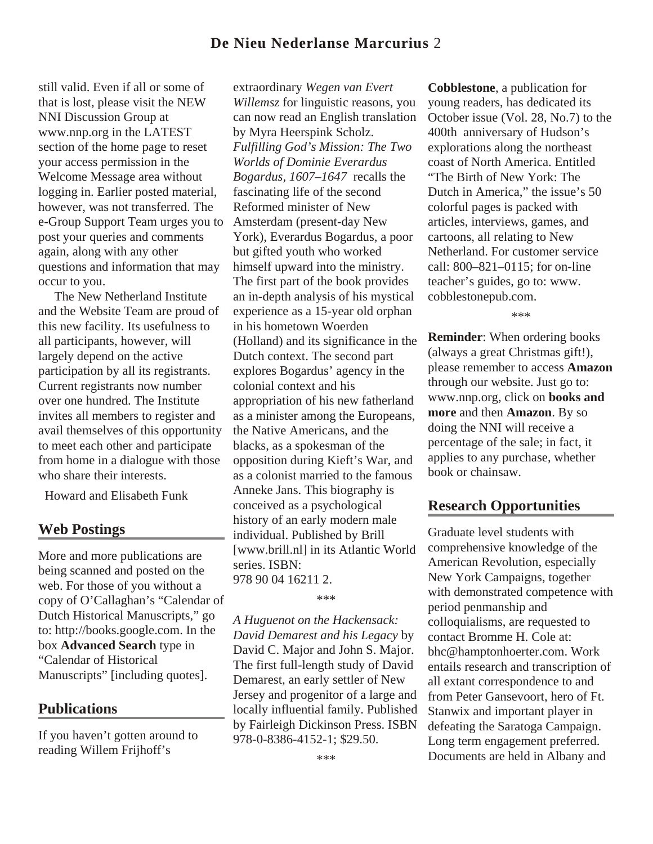# **De Nieu Nederlanse Marcurius** 2

still valid. Even if all or some of that is lost, please visit the NEW NNI Discussion Group at www.nnp.org in the LATEST section of the home page to reset your access permission in the Welcome Message area without logging in. Earlier posted material, however, was not transferred. The e-Group Support Team urges you to post your queries and comments again, along with any other questions and information that may occur to you.

 The New Netherland Institute and the Website Team are proud of this new facility. Its usefulness to all participants, however, will largely depend on the active participation by all its registrants. Current registrants now number over one hundred. The Institute invites all members to register and avail themselves of this opportunity to meet each other and participate from home in a dialogue with those who share their interests.

Howard and Elisabeth Funk

## **Web Postings**

More and more publications are being scanned and posted on the web. For those of you without a copy of O'Callaghan's "Calendar of Dutch Historical Manuscripts," go to: http://books.google.com. In the box **Advanced Search** type in "Calendar of Historical Manuscripts" [including quotes].

### **Publications**

If you haven't gotten around to reading Willem Frijhoff's

extraordinary *Wegen van Evert Willemsz* for linguistic reasons, you can now read an English translation by Myra Heerspink Scholz. *Fulfilling God's Mission: The Two Worlds of Dominie Everardus Bogardus, 1607–1647* recalls the fascinating life of the second Reformed minister of New Amsterdam (present-day New York), Everardus Bogardus, a poor but gifted youth who worked himself upward into the ministry. The first part of the book provides an in-depth analysis of his mystical experience as a 15-year old orphan in his hometown Woerden (Holland) and its significance in the Dutch context. The second part explores Bogardus' agency in the colonial context and his appropriation of his new fatherland as a minister among the Europeans, the Native Americans, and the blacks, as a spokesman of the opposition during Kieft's War, and as a colonist married to the famous Anneke Jans. This biography is conceived as a psychological history of an early modern male individual. Published by Brill [www.brill.nl] in its Atlantic World series. ISBN: 978 90 04 16211 2.

\*\*\*

*A Huguenot on the Hackensack: David Demarest and his Legacy* by David C. Major and John S. Major. The first full-length study of David Demarest, an early settler of New Jersey and progenitor of a large and locally influential family. Published by Fairleigh Dickinson Press. ISBN 978-0-8386-4152-1; \$29.50.

**Cobblestone**, a publication for young readers, has dedicated its October issue (Vol. 28, No.7) to the 400th anniversary of Hudson's explorations along the northeast coast of North America. Entitled "The Birth of New York: The Dutch in America," the issue's 50 colorful pages is packed with articles, interviews, games, and cartoons, all relating to New Netherland. For customer service call: 800–821–0115; for on-line teacher's guides, go to: www. cobblestonepub.com.

\*\*\*

**Reminder**: When ordering books (always a great Christmas gift!), please remember to access **Amazon**  through our website. Just go to: www.nnp.org, click on **books and more** and then **Amazon**. By so doing the NNI will receive a percentage of the sale; in fact, it applies to any purchase, whether book or chainsaw.

### **Research Opportunities**

Graduate level students with comprehensive knowledge of the American Revolution, especially New York Campaigns, together with demonstrated competence with period penmanship and colloquialisms, are requested to contact Bromme H. Cole at: bhc@hamptonhoerter.com. Work entails research and transcription of all extant correspondence to and from Peter Gansevoort, hero of Ft. Stanwix and important player in defeating the Saratoga Campaign. Long term engagement preferred. Documents are held in Albany and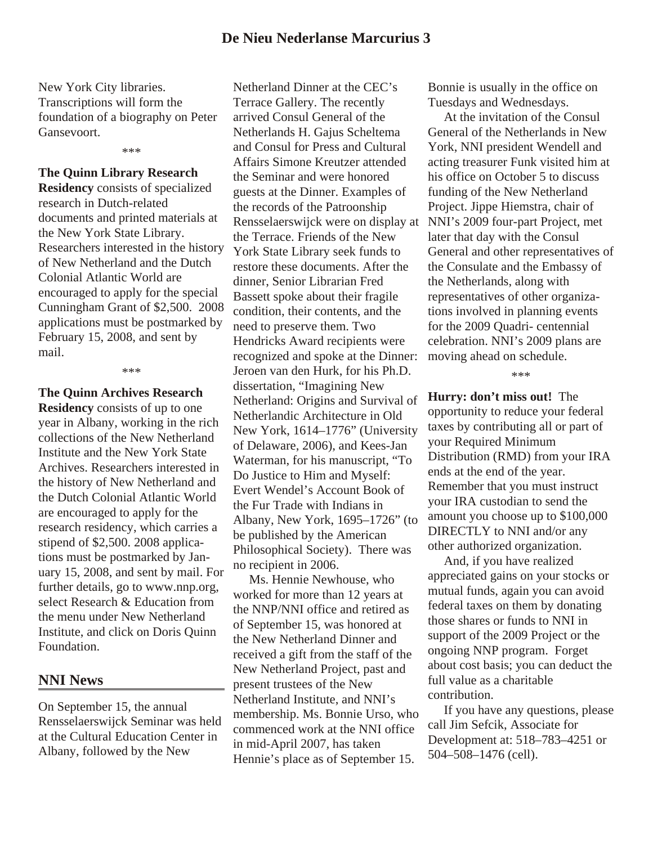New York City libraries. Transcriptions will form the foundation of a biography on Peter Gansevoort.

\*\*\*

# **The Quinn Library Research**

**Residency** consists of specialized research in Dutch-related documents and printed materials at the New York State Library. Researchers interested in the history of New Netherland and the Dutch Colonial Atlantic World are encouraged to apply for the special Cunningham Grant of \$2,500. 2008 applications must be postmarked by February 15, 2008, and sent by mail.

\*\*\*

### **The Quinn Archives Research**

**Residency** consists of up to one year in Albany, working in the rich collections of the New Netherland Institute and the New York State Archives. Researchers interested in the history of New Netherland and the Dutch Colonial Atlantic World are encouraged to apply for the research residency, which carries a stipend of \$2,500. 2008 applications must be postmarked by January 15, 2008, and sent by mail. For further details, go to www.nnp.org, select Research & Education from the menu under New Netherland Institute, and click on Doris Quinn Foundation.

### **NNI News**

On September 15, the annual Rensselaerswijck Seminar was held at the Cultural Education Center in Albany, followed by the New

Netherland Dinner at the CEC's Terrace Gallery. The recently arrived Consul General of the Netherlands H. Gajus Scheltema and Consul for Press and Cultural Affairs Simone Kreutzer attended the Seminar and were honored guests at the Dinner. Examples of the records of the Patroonship Rensselaerswijck were on display at the Terrace. Friends of the New York State Library seek funds to restore these documents. After the dinner, Senior Librarian Fred Bassett spoke about their fragile condition, their contents, and the need to preserve them. Two Hendricks Award recipients were recognized and spoke at the Dinner: Jeroen van den Hurk, for his Ph.D. dissertation, "Imagining New Netherland: Origins and Survival of Netherlandic Architecture in Old New York, 1614–1776" (University of Delaware, 2006), and Kees-Jan Waterman, for his manuscript, "To Do Justice to Him and Myself: Evert Wendel's Account Book of the Fur Trade with Indians in Albany, New York, 1695–1726" (to be published by the American Philosophical Society). There was no recipient in 2006.

 Ms. Hennie Newhouse, who worked for more than 12 years at the NNP/NNI office and retired as of September 15, was honored at the New Netherland Dinner and received a gift from the staff of the New Netherland Project, past and present trustees of the New Netherland Institute, and NNI's membership. Ms. Bonnie Urso, who commenced work at the NNI office in mid-April 2007, has taken Hennie's place as of September 15.

Bonnie is usually in the office on Tuesdays and Wednesdays.

 At the invitation of the Consul General of the Netherlands in New York, NNI president Wendell and acting treasurer Funk visited him at his office on October 5 to discuss funding of the New Netherland Project. Jippe Hiemstra, chair of NNI's 2009 four-part Project, met later that day with the Consul General and other representatives of the Consulate and the Embassy of the Netherlands, along with representatives of other organizations involved in planning events for the 2009 Quadri- centennial celebration. NNI's 2009 plans are moving ahead on schedule.

\*\*\*

**Hurry: don't miss out!** The opportunity to reduce your federal taxes by contributing all or part of your Required Minimum Distribution (RMD) from your IRA ends at the end of the year. Remember that you must instruct your IRA custodian to send the amount you choose up to \$100,000 DIRECTLY to NNI and/or any other authorized organization.

 And, if you have realized appreciated gains on your stocks or mutual funds, again you can avoid federal taxes on them by donating those shares or funds to NNI in support of the 2009 Project or the ongoing NNP program. Forget about cost basis; you can deduct the full value as a charitable contribution.

 If you have any questions, please call Jim Sefcik, Associate for Development at: 518–783–4251 or 504–508–1476 (cell).